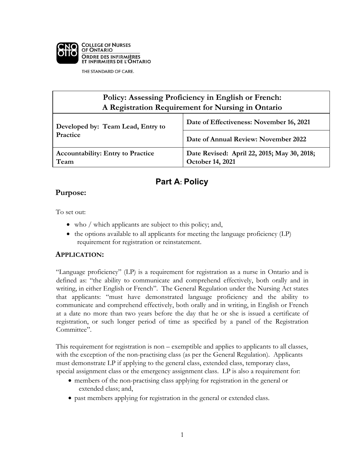

THE STANDARD OF CARE.

#### **Policy: Assessing Proficiency in English or French: A Registration Requirement for Nursing in Ontario Developed by: Team Lead, Entry to Practice Date of Effectiveness: November 16, 2021 Date of Annual Review: November 2022 Accountability: Entry to Practice Team Date Revised: April 22, 2015; May 30, 2018; October 14, 2021**

# **Part A: Policy**

### **Purpose:**

To set out:

- who / which applicants are subject to this policy; and,
- the options available to all applicants for meeting the language proficiency (LP) requirement for registration or reinstatement.

### **APPLICATION:**

"Language proficiency" (LP) is a requirement for registration as a nurse in Ontario and is defined as: "the ability to communicate and comprehend effectively, both orally and in writing, in either English or French". The General Regulation under the Nursing Act states that applicants: "must have demonstrated language proficiency and the ability to communicate and comprehend effectively, both orally and in writing, in English or French at a date no more than two years before the day that he or she is issued a certificate of registration, or such longer period of time as specified by a panel of the Registration Committee".

This requirement for registration is non – exemptible and applies to applicants to all classes, with the exception of the non-practising class (as per the General Regulation). Applicants must demonstrate LP if applying to the general class, extended class, temporary class, special assignment class or the emergency assignment class. LP is also a requirement for:

- members of the non-practising class applying for registration in the general or extended class; and,
- past members applying for registration in the general or extended class.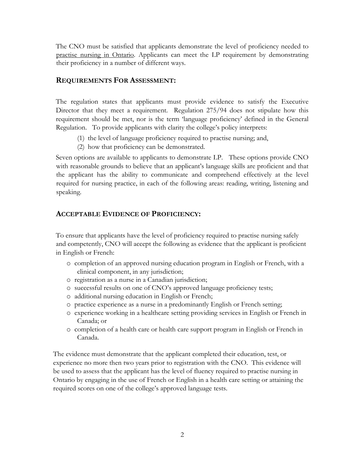The CNO must be satisfied that applicants demonstrate the level of proficiency needed to practise nursing in Ontario. Applicants can meet the LP requirement by demonstrating their proficiency in a number of different ways.

#### **REQUIREMENTS FOR ASSESSMENT:**

The regulation states that applicants must provide evidence to satisfy the Executive Director that they meet a requirement. Regulation 275/94 does not stipulate how this requirement should be met, nor is the term 'language proficiency' defined in the General Regulation. To provide applicants with clarity the college's policy interprets:

- (1) the level of language proficiency required to practise nursing; and,
- (2) how that proficiency can be demonstrated.

Seven options are available to applicants to demonstrate LP. These options provide CNO with reasonable grounds to believe that an applicant's language skills are proficient and that the applicant has the ability to communicate and comprehend effectively at the level required for nursing practice, in each of the following areas: reading, writing, listening and speaking.

### **ACCEPTABLE EVIDENCE OF PROFICIENCY:**

To ensure that applicants have the level of proficiency required to practise nursing safely and competently, CNO will accept the following as evidence that the applicant is proficient in English or French:

- o completion of an approved nursing education program in English or French, with a clinical component, in any jurisdiction;
- o registration as a nurse in a Canadian jurisdiction;
- o successful results on one of CNO's approved language proficiency tests;
- o additional nursing education in English or French;
- o practice experience as a nurse in a predominantly English or French setting;
- o experience working in a healthcare setting providing services in English or French in Canada; or
- o completion of a health care or health care support program in English or French in Canada.

The evidence must demonstrate that the applicant completed their education, test, or experience no more then two years prior to registration with the CNO. This evidence will be used to assess that the applicant has the level of fluency required to practise nursing in Ontario by engaging in the use of French or English in a health care setting or attaining the required scores on one of the college's approved language tests.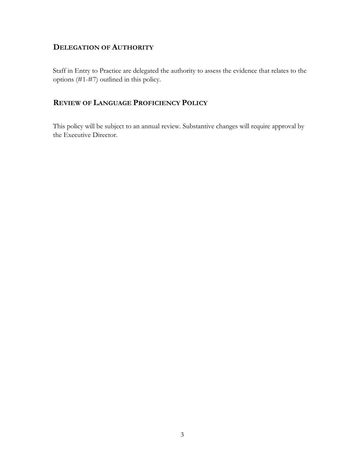### **DELEGATION OF AUTHORITY**

Staff in Entry to Practice are delegated the authority to assess the evidence that relates to the options (#1-#7) outlined in this policy.

### **REVIEW OF LANGUAGE PROFICIENCY POLICY**

This policy will be subject to an annual review. Substantive changes will require approval by the Executive Director.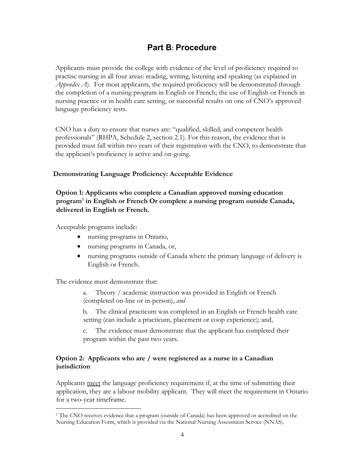## **Part B: Procedure**

Applicants must provide the college with evidence of the level of proficiency required to practise nursing in all four areas: reading, writing, listening and speaking (as explained in *Appendix A*). For most applicants, the required proficiency will be demonstrated through the completion of a nursing program in English or French; the use of English or French in nursing practice or in health care setting, or successful results on one of CNO's approved language proficiency tests.

CNO has a duty to ensure that nurses are: "qualified, skilled, and competent health professionals" (RHPA, Schedule 2, section 2.1). For this reason, the evidence that is provided must fall within two years of their registration with the CNO, to demonstrate that the applicant's proficiency is active and on-going.

#### **Demonstrating Language Proficiency: Acceptable Evidence**

**Option 1: Applicants who complete a Canadian approved nursing education program1 in English or French Or complete a nursing program outside Canada, delivered in English or French.** 

Acceptable programs include:

- nursing programs in Ontario,
- nursing programs in Canada, or,
- nursing programs outside of Canada where the primary language of delivery is English or French.

The evidence must demonstrate that:

a. Theory / academic instruction was provided in English or French (completed on-line or in-person), *and*

b. The clinical practicum was completed in an English or French health care setting (can include a practicum, placement or coop experience); and,

c. The evidence must demonstrate that the applicant has completed their program within the past two years.

#### **Option 2: Applicants who are / were registered as a nurse in a Canadian jurisdiction**

Applicants meet the language proficiency requirement if, at the time of submitting their application, they are a labour mobility applicant. They will meet the requirement in Ontario for a two-year timeframe.

<sup>&</sup>lt;sup>1</sup> The CNO receives evidence that a program (outside of Canada) has been approved or accredited on the Nursing Education Form, which is provided via the National Nursing Assessment Service (NNAS).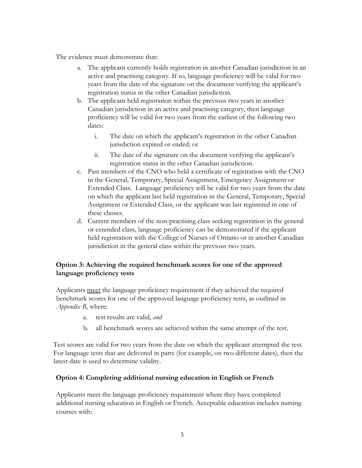The evidence must demonstrate that:

- The applicant currently holds registration in another Canadian jurisdiction in an active and practising category. If so, language proficiency will be valid for two years from the date of the signature on the document verifying the applicant's registration status in the other Canadian jurisdiction.
- b. The applicant held registration within the previous two years in another Canadian jurisdiction in an active and practising category, then language proficiency will be valid for two years from the earliest of the following two dates:
	- i. The date on which the applicant's registration in the other Canadian jurisdiction expired or ended; or
	- ii. The date of the signature on the document verifying the applicant's registration status in the other Canadian jurisdiction.
- c. Past members of the CNO who held a certificate of registration with the CNO in the General, Temporary, Special Assignment, Emergency Assignment or Extended Class. Language proficiency will be valid for two years from the date on which the applicant last held registration in the General, Temporary, Special Assignment or Extended Class, or the applicant was last registered in one of these classes.
- d. Current members of the non-practising class seeking registration in the general or extended class, language proficiency can be demonstrated if the applicant held registration with the College of Nurses of Ontario or in another Canadian jurisdiction in the general class within the previous two years.

#### **Option 3: Achieving the required benchmark scores for one of the approved language proficiency tests**

Applicants meet the language proficiency requirement if they achieved the required benchmark scores for one of the approved language proficiency tests, as outlined in *Appendix B*, where:

- a. test results are valid, *and*
- b. all benchmark scores are achieved within the same attempt of the test.

Test scores are valid for two years from the date on which the applicant attempted the test. For language tests that are delivered in parts (for example, on two different dates), then the latest date is used to determine validity.

#### **Option 4: Completing additional nursing education in English or French**

Applicants meet the language proficiency requirement where they have completed additional nursing education in English or French. Acceptable education includes nursing courses with: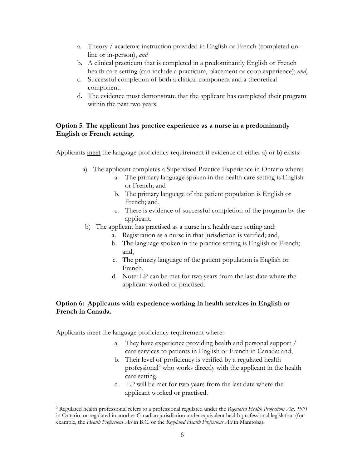- a. Theory / academic instruction provided in English or French (completed online or in-person), *and*
- b. A clinical practicum that is completed in a predominantly English or French health care setting (can include a practicum, placement or coop experience); *and*,
- c. Successful completion of both a clinical component and a theoretical component.
- d. The evidence must demonstrate that the applicant has completed their program within the past two years.

#### **Option 5**: **The applicant has practice experience as a nurse in a predominantly English or French setting.**

Applicants meet the language proficiency requirement if evidence of either a) or b) exists:

- a) The applicant completes a Supervised Practice Experience in Ontario where:
	- a. The primary language spoken in the health care setting is English or French; and
	- b. The primary language of the patient population is English or French; and,
	- c. There is evidence of successful completion of the program by the applicant.
- b) The applicant has practised as a nurse in a health care setting and:
	- a. Registration as a nurse in that jurisdiction is verified; and,
	- b. The language spoken in the practice setting is English or French; and,
	- c. The primary language of the patient population is English or French.
	- d. Note: LP can be met for two years from the last date where the applicant worked or practised.

#### **Option 6: Applicants with experience working in health services in English or French in Canada.**

Applicants meet the language proficiency requirement where:

- a. They have experience providing health and personal support / care services to patients in English or French in Canada; and,
- b. Their level of proficiency is verified by a regulated health professional <sup>2</sup> who works directly with the applicant in the health care setting.
- c. LP will be met for two years from the last date where the applicant worked or practised.

<sup>2</sup> Regulated health professional refers to a professional regulated under the *Regulated Health Professions Act, 1991*  in Ontario, or regulated in another Canadian jurisdiction under equivalent health professional legislation (for example, the *Health Professions Act* in B.C. or the *Regulated Health Professions Act* in Manitoba).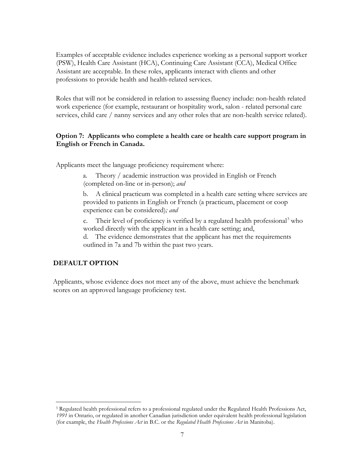Examples of acceptable evidence includes experience working as a personal support worker (PSW), Health Care Assistant (HCA), Continuing Care Assistant (CCA), Medical Office Assistant are acceptable. In these roles, applicants interact with clients and other professions to provide health and health-related services.

Roles that will not be considered in relation to assessing fluency include: non-health related work experience (for example, restaurant or hospitality work, salon - related personal care services, child care / nanny services and any other roles that are non-health service related).

#### **Option 7: Applicants who complete a health care or health care support program in English or French in Canada.**

Applicants meet the language proficiency requirement where:

a. Theory / academic instruction was provided in English or French (completed on-line or in-person); *and*

b. A clinical practicum was completed in a health care setting where services are provided to patients in English or French (a practicum, placement or coop experience can be considered)*; and*

c. Their level of proficiency is verified by a regulated health professional<sup>3</sup> who worked directly with the applicant in a health care setting; and,

d. The evidence demonstrates that the applicant has met the requirements outlined in 7a and 7b within the past two years.

### **DEFAULT OPTION**

Applicants, whose evidence does not meet any of the above, must achieve the benchmark scores on an approved language proficiency test.

<sup>3</sup> Regulated health professional refers to a professional regulated under the Regulated Health Professions Act, *1991* in Ontario, or regulated in another Canadian jurisdiction under equivalent health professional legislation (for example, the *Health Professions Act* in B.C. or the *Regulated Health Professions Act* in Manitoba).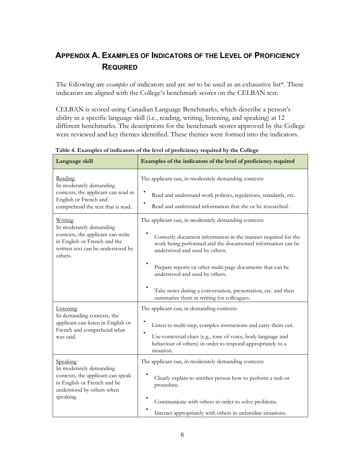# **APPENDIX A. EXAMPLES OF INDICATORS OF THE LEVEL OF PROFICIENCY REQUIRED**

The following are *examples* of indicators and are *not* to be used as an exhaustive list\*. These indicators are aligned with the College's benchmark scores on the CELBAN test.

CELBAN is scored using Canadian Language Benchmarks, which describe a person's ability in a specific language skill (i.e., reading, writing, listening, and speaking) at 12 different benchmarks. The descriptions for the benchmark scores approved by the College were reviewed and key themes identified. These themes were formed into the indicators.

| Language skill                                                                                                                                          | Examples of the indicators of the level of proficiency required                                                                                                                                                                                                                                                                                                                                                                    |  |
|---------------------------------------------------------------------------------------------------------------------------------------------------------|------------------------------------------------------------------------------------------------------------------------------------------------------------------------------------------------------------------------------------------------------------------------------------------------------------------------------------------------------------------------------------------------------------------------------------|--|
| Reading<br>In moderately demanding<br>contexts, the applicant can read in<br>English or French and<br>comprehend the text that is read.                 | The applicant can, in moderately demanding contexts:<br>Read and understand work policies, regulations, standards, etc.<br>Read and understand information that she or he researched.                                                                                                                                                                                                                                              |  |
| Writing<br>In moderately demanding<br>contexts, the applicant can write<br>in English or French and the<br>written text can be understood by<br>others. | The applicant can, in moderately demanding contexts:<br>Correctly document information in the manner required for the<br>work being performed and the documented information can be<br>understood and used by others.<br>Prepare reports or other multi-page documents that can be<br>understood and used by others.<br>Take notes during a conversation, presentation, etc. and then<br>summarize them in writing for colleagues. |  |
| Listening<br>In demanding contexts, the<br>applicant can listen in English or<br>French and comprehend what<br>was said.                                | The applicant can, in demanding contexts:<br>Listen to multi-step, complex instructions and carry them out.<br>Use contextual clues (e.g., tone of voice, body language and<br>behaviour of others) in order to respond appropriately to a<br>situation.                                                                                                                                                                           |  |
| Speaking<br>In moderately demanding<br>contexts, the applicant can speak<br>in English or French and be<br>understood by others when<br>speaking.       | The applicant can, in moderately demanding contexts:<br>Clearly explain to another person how to perform a task or<br>procedure.<br>Communicate with others in order to solve problems.<br>Interact appropriately with others in unfamiliar situations.                                                                                                                                                                            |  |

**Table 4. Examples of indicators of the level of proficiency required by the College**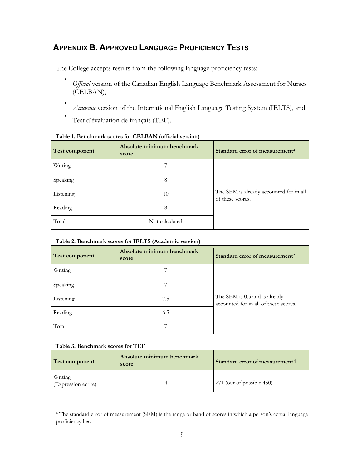## **APPENDIX B. APPROVED LANGUAGE PROFICIENCY TESTS**

The College accepts results from the following language proficiency tests:

- *Official* version of the Canadian English Language Benchmark Assessment for Nurses (CELBAN),
- *Academic* version of the International English Language Testing System (IELTS), and

• Test d'évaluation de français (TEF).

| <b>Test component</b> | Absolute minimum benchmark<br>score | Standard error of measurement <sup>4</sup>                  |
|-----------------------|-------------------------------------|-------------------------------------------------------------|
| Writing               |                                     |                                                             |
| Speaking              | 8                                   |                                                             |
| Listening             | 10                                  | The SEM is already accounted for in all<br>of these scores. |
| Reading               | 8                                   |                                                             |
| Total                 | Not calculated                      |                                                             |

#### **Table 1. Benchmark scores for CELBAN (official version)**

#### **Table 2. Benchmark scores for IELTS (Academic version)**

| Test component | Absolute minimum benchmark<br>score | Standard error of measurement1                                         |
|----------------|-------------------------------------|------------------------------------------------------------------------|
| Writing        |                                     |                                                                        |
| Speaking       |                                     |                                                                        |
| Listening      | 7.5                                 | The SEM is 0.5 and is already<br>accounted for in all of these scores. |
| Reading        | 6.5                                 |                                                                        |
| Total          |                                     |                                                                        |

#### **Table 3. Benchmark scores for TEF**

| Test component                 | Absolute minimum benchmark<br>score | Standard error of measurement1 |
|--------------------------------|-------------------------------------|--------------------------------|
| Writing<br>(Expression écrite) |                                     | 271 (out of possible 450)      |

<sup>4</sup> The standard error of measurement (SEM) is the range or band of scores in which a person's actual language proficiency lies.